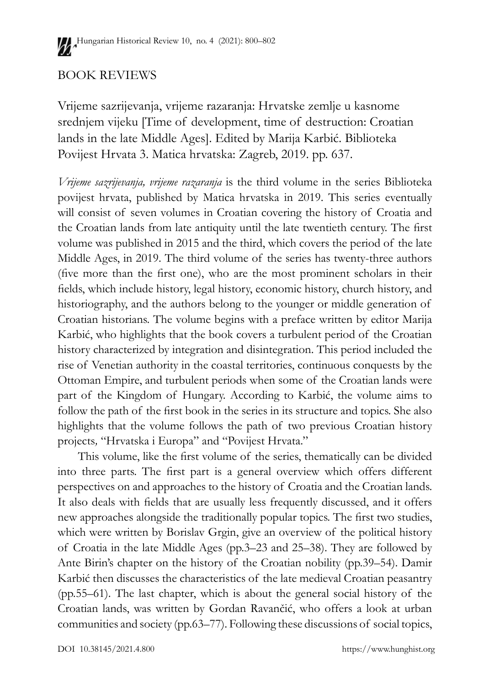## BOOK REVIEWS

Vrijeme sazrijevanja, vrijeme razaranja: Hrvatske zemlje u kasnome srednjem vijeku [Time of development, time of destruction: Croatian lands in the late Middle Ages]. Edited by Marija Karbić. Biblioteka Povijest Hrvata 3. Matica hrvatska: Zagreb, 2019. pp. 637.

*Vrijeme sazrijevanja, vrijeme razaranja* is the third volume in the series Biblioteka povijest hrvata, published by Matica hrvatska in 2019. This series eventually will consist of seven volumes in Croatian covering the history of Croatia and the Croatian lands from late antiquity until the late twentieth century. The first volume was published in 2015 and the third, which covers the period of the late Middle Ages, in 2019. The third volume of the series has twenty-three authors (five more than the first one), who are the most prominent scholars in their fields, which include history, legal history, economic history, church history, and historiography, and the authors belong to the younger or middle generation of Croatian historians. The volume begins with a preface written by editor Marija Karbić, who highlights that the book covers a turbulent period of the Croatian history characterized by integration and disintegration. This period included the rise of Venetian authority in the coastal territories, continuous conquests by the Ottoman Empire, and turbulent periods when some of the Croatian lands were part of the Kingdom of Hungary. According to Karbić, the volume aims to follow the path of the first book in the series in its structure and topics. She also highlights that the volume follows the path of two previous Croatian history projects*,* "Hrvatska i Europa" and "Povijest Hrvata."

This volume, like the first volume of the series, thematically can be divided into three parts. The first part is a general overview which offers different perspectives on and approaches to the history of Croatia and the Croatian lands. It also deals with fields that are usually less frequently discussed, and it offers new approaches alongside the traditionally popular topics. The first two studies, which were written by Borislav Grgin, give an overview of the political history of Croatia in the late Middle Ages (pp.3–23 and 25–38). They are followed by Ante Birin's chapter on the history of the Croatian nobility (pp.39–54). Damir Karbić then discusses the characteristics of the late medieval Croatian peasantry (pp.55–61). The last chapter, which is about the general social history of the Croatian lands, was written by Gordan Ravančić, who offers a look at urban communities and society (pp.63–77). Following these discussions of social topics,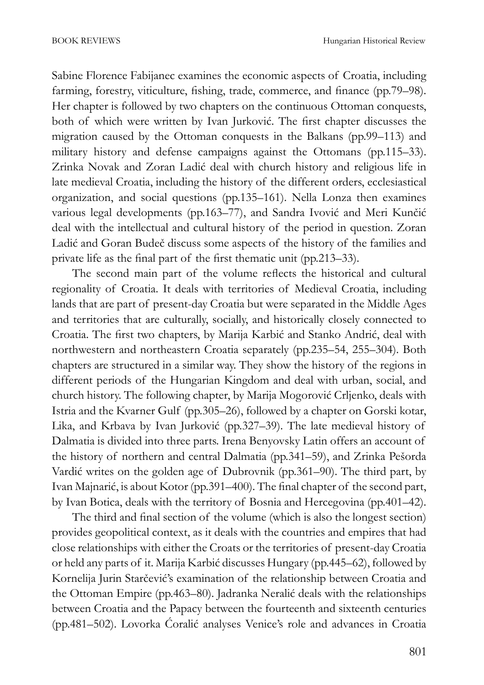Sabine Florence Fabijanec examines the economic aspects of Croatia, including farming, forestry, viticulture, fishing, trade, commerce, and finance (pp.79–98). Her chapter is followed by two chapters on the continuous Ottoman conquests, both of which were written by Ivan Jurković. The first chapter discusses the migration caused by the Ottoman conquests in the Balkans (pp.99–113) and military history and defense campaigns against the Ottomans (pp.115–33). Zrinka Novak and Zoran Ladić deal with church history and religious life in late medieval Croatia, including the history of the different orders, ecclesiastical organization, and social questions (pp.135–161). Nella Lonza then examines various legal developments (pp.163–77), and Sandra Ivović and Meri Kunčić deal with the intellectual and cultural history of the period in question. Zoran Ladić and Goran Budeč discuss some aspects of the history of the families and private life as the final part of the first thematic unit (pp.213–33).

The second main part of the volume reflects the historical and cultural regionality of Croatia. It deals with territories of Medieval Croatia, including lands that are part of present-day Croatia but were separated in the Middle Ages and territories that are culturally, socially, and historically closely connected to Croatia. The first two chapters, by Marija Karbić and Stanko Andrić, deal with northwestern and northeastern Croatia separately (pp.235–54, 255–304). Both chapters are structured in a similar way. They show the history of the regions in different periods of the Hungarian Kingdom and deal with urban, social, and church history. The following chapter, by Marija Mogorović Crljenko, deals with Istria and the Kvarner Gulf (pp.305–26), followed by a chapter on Gorski kotar, Lika, and Krbava by Ivan Jurković (pp.327–39). The late medieval history of Dalmatia is divided into three parts. Irena Benyovsky Latin offers an account of the history of northern and central Dalmatia (pp.341–59), and Zrinka Pešorda Vardić writes on the golden age of Dubrovnik (pp.361–90). The third part, by Ivan Majnarić, is about Kotor (pp.391–400). The final chapter of the second part, by Ivan Botica, deals with the territory of Bosnia and Hercegovina (pp.401–42).

The third and final section of the volume (which is also the longest section) provides geopolitical context, as it deals with the countries and empires that had close relationships with either the Croats or the territories of present-day Croatia or held any parts of it. Marija Karbić discusses Hungary (pp.445–62), followed by Kornelija Jurin Starčević's examination of the relationship between Croatia and the Ottoman Empire (pp.463–80). Jadranka Neralić deals with the relationships between Croatia and the Papacy between the fourteenth and sixteenth centuries (pp.481–502). Lovorka Ćoralić analyses Venice's role and advances in Croatia